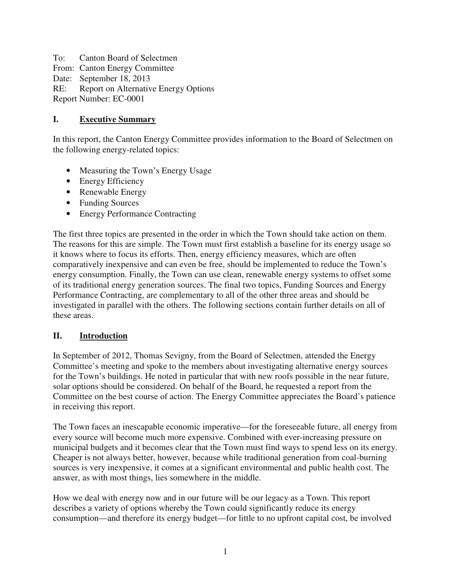To: Canton Board of Selectmen From: Canton Energy Committee Date: September 18, 2013 RE: Report on Alternative Energy Options Report Number: EC-0001

## **I. Executive Summary**

In this report, the Canton Energy Committee provides information to the Board of Selectmen on the following energy-related topics:

- Measuring the Town's Energy Usage
- Energy Efficiency
- Renewable Energy
- Funding Sources
- Energy Performance Contracting

The first three topics are presented in the order in which the Town should take action on them. The reasons for this are simple. The Town must first establish a baseline for its energy usage so it knows where to focus its efforts. Then, energy efficiency measures, which are often comparatively inexpensive and can even be free, should be implemented to reduce the Town's energy consumption. Finally, the Town can use clean, renewable energy systems to offset some of its traditional energy generation sources. The final two topics, Funding Sources and Energy Performance Contracting, are complementary to all of the other three areas and should be investigated in parallel with the others. The following sections contain further details on all of these areas.

### **II. Introduction**

In September of 2012, Thomas Sevigny, from the Board of Selectmen, attended the Energy Committee's meeting and spoke to the members about investigating alternative energy sources for the Town's buildings. He noted in particular that with new roofs possible in the near future, solar options should be considered. On behalf of the Board, he requested a report from the Committee on the best course of action. The Energy Committee appreciates the Board's patience in receiving this report.

The Town faces an inescapable economic imperative—for the foreseeable future, all energy from every source will become much more expensive. Combined with ever-increasing pressure on municipal budgets and it becomes clear that the Town must find ways to spend less on its energy. Cheaper is not always better, however, because while traditional generation from coal-burning sources is very inexpensive, it comes at a significant environmental and public health cost. The answer, as with most things, lies somewhere in the middle.

How we deal with energy now and in our future will be our legacy as a Town. This report describes a variety of options whereby the Town could significantly reduce its energy consumption—and therefore its energy budget—for little to no upfront capital cost, be involved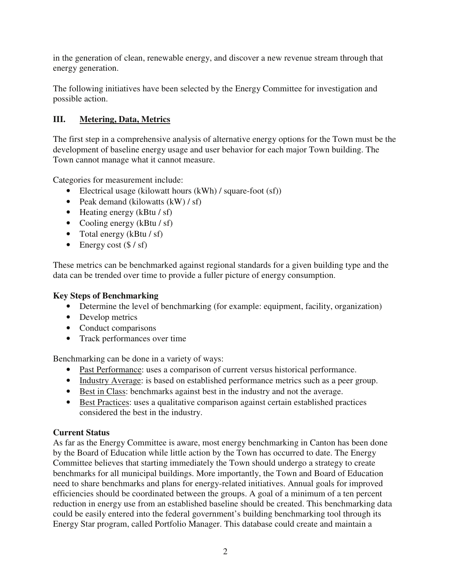in the generation of clean, renewable energy, and discover a new revenue stream through that energy generation.

The following initiatives have been selected by the Energy Committee for investigation and possible action.

# **III. Metering, Data, Metrics**

The first step in a comprehensive analysis of alternative energy options for the Town must be the development of baseline energy usage and user behavior for each major Town building. The Town cannot manage what it cannot measure.

Categories for measurement include:

- Electrical usage (kilowatt hours (kWh) / square-foot (sf))
- Peak demand (kilowatts  $(kW)/s$ f)
- Heating energy (kBtu / sf)
- Cooling energy (kBtu / sf)
- Total energy (kBtu / sf)
- Energy cost  $(\frac{6}{5} / \text{sf})$

These metrics can be benchmarked against regional standards for a given building type and the data can be trended over time to provide a fuller picture of energy consumption.

### **Key Steps of Benchmarking**

- Determine the level of benchmarking (for example: equipment, facility, organization)
- Develop metrics
- Conduct comparisons
- Track performances over time

Benchmarking can be done in a variety of ways:

- Past Performance: uses a comparison of current versus historical performance.
- Industry Average: is based on established performance metrics such as a peer group.
- Best in Class: benchmarks against best in the industry and not the average.
- Best Practices: uses a qualitative comparison against certain established practices considered the best in the industry.

### **Current Status**

As far as the Energy Committee is aware, most energy benchmarking in Canton has been done by the Board of Education while little action by the Town has occurred to date. The Energy Committee believes that starting immediately the Town should undergo a strategy to create benchmarks for all municipal buildings. More importantly, the Town and Board of Education need to share benchmarks and plans for energy-related initiatives. Annual goals for improved efficiencies should be coordinated between the groups. A goal of a minimum of a ten percent reduction in energy use from an established baseline should be created. This benchmarking data could be easily entered into the federal government's building benchmarking tool through its Energy Star program, called Portfolio Manager. This database could create and maintain a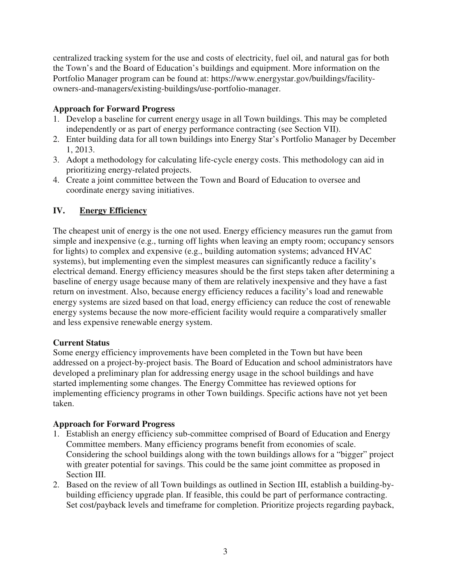centralized tracking system for the use and costs of electricity, fuel oil, and natural gas for both the Town's and the Board of Education's buildings and equipment. More information on the Portfolio Manager program can be found at: https://www.energystar.gov/buildings/facilityowners-and-managers/existing-buildings/use-portfolio-manager.

### **Approach for Forward Progress**

- 1. Develop a baseline for current energy usage in all Town buildings. This may be completed independently or as part of energy performance contracting (see Section VII).
- 2. Enter building data for all town buildings into Energy Star's Portfolio Manager by December 1, 2013.
- 3. Adopt a methodology for calculating life-cycle energy costs. This methodology can aid in prioritizing energy-related projects.
- 4. Create a joint committee between the Town and Board of Education to oversee and coordinate energy saving initiatives.

# **IV. Energy Efficiency**

The cheapest unit of energy is the one not used. Energy efficiency measures run the gamut from simple and inexpensive (e.g., turning off lights when leaving an empty room; occupancy sensors for lights) to complex and expensive (e.g., building automation systems; advanced HVAC systems), but implementing even the simplest measures can significantly reduce a facility's electrical demand. Energy efficiency measures should be the first steps taken after determining a baseline of energy usage because many of them are relatively inexpensive and they have a fast return on investment. Also, because energy efficiency reduces a facility's load and renewable energy systems are sized based on that load, energy efficiency can reduce the cost of renewable energy systems because the now more-efficient facility would require a comparatively smaller and less expensive renewable energy system.

### **Current Status**

Some energy efficiency improvements have been completed in the Town but have been addressed on a project-by-project basis. The Board of Education and school administrators have developed a preliminary plan for addressing energy usage in the school buildings and have started implementing some changes. The Energy Committee has reviewed options for implementing efficiency programs in other Town buildings. Specific actions have not yet been taken.

### **Approach for Forward Progress**

- 1. Establish an energy efficiency sub-committee comprised of Board of Education and Energy Committee members. Many efficiency programs benefit from economies of scale. Considering the school buildings along with the town buildings allows for a "bigger" project with greater potential for savings. This could be the same joint committee as proposed in Section III.
- 2. Based on the review of all Town buildings as outlined in Section III, establish a building-bybuilding efficiency upgrade plan. If feasible, this could be part of performance contracting. Set cost/payback levels and timeframe for completion. Prioritize projects regarding payback,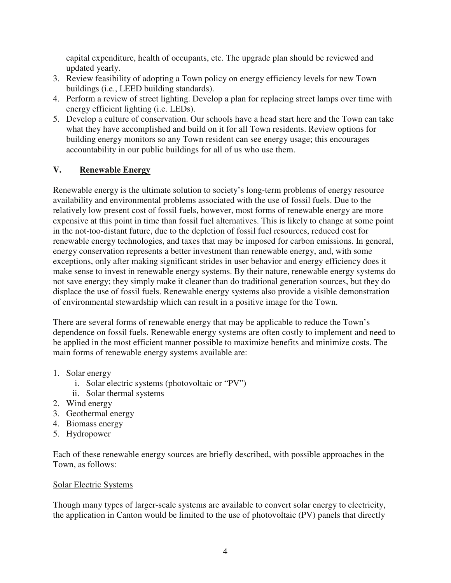capital expenditure, health of occupants, etc. The upgrade plan should be reviewed and updated yearly.

- 3. Review feasibility of adopting a Town policy on energy efficiency levels for new Town buildings (i.e., LEED building standards).
- 4. Perform a review of street lighting. Develop a plan for replacing street lamps over time with energy efficient lighting (i.e. LEDs).
- 5. Develop a culture of conservation. Our schools have a head start here and the Town can take what they have accomplished and build on it for all Town residents. Review options for building energy monitors so any Town resident can see energy usage; this encourages accountability in our public buildings for all of us who use them.

# **V. Renewable Energy**

Renewable energy is the ultimate solution to society's long-term problems of energy resource availability and environmental problems associated with the use of fossil fuels. Due to the relatively low present cost of fossil fuels, however, most forms of renewable energy are more expensive at this point in time than fossil fuel alternatives. This is likely to change at some point in the not-too-distant future, due to the depletion of fossil fuel resources, reduced cost for renewable energy technologies, and taxes that may be imposed for carbon emissions. In general, energy conservation represents a better investment than renewable energy, and, with some exceptions, only after making significant strides in user behavior and energy efficiency does it make sense to invest in renewable energy systems. By their nature, renewable energy systems do not save energy; they simply make it cleaner than do traditional generation sources, but they do displace the use of fossil fuels. Renewable energy systems also provide a visible demonstration of environmental stewardship which can result in a positive image for the Town.

There are several forms of renewable energy that may be applicable to reduce the Town's dependence on fossil fuels. Renewable energy systems are often costly to implement and need to be applied in the most efficient manner possible to maximize benefits and minimize costs. The main forms of renewable energy systems available are:

- 1. Solar energy
	- i. Solar electric systems (photovoltaic or "PV")
	- ii. Solar thermal systems
- 2. Wind energy
- 3. Geothermal energy
- 4. Biomass energy
- 5. Hydropower

Each of these renewable energy sources are briefly described, with possible approaches in the Town, as follows:

### Solar Electric Systems

Though many types of larger-scale systems are available to convert solar energy to electricity, the application in Canton would be limited to the use of photovoltaic (PV) panels that directly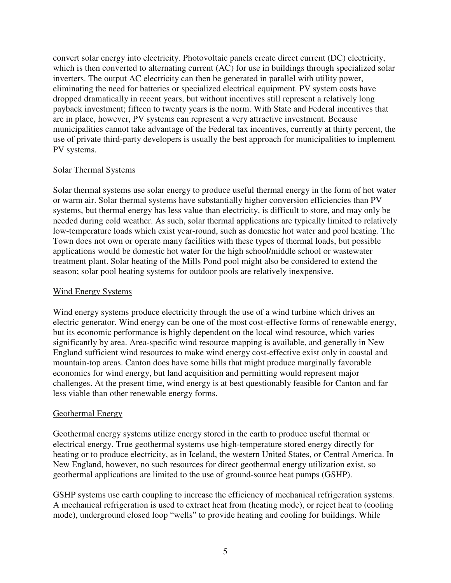convert solar energy into electricity. Photovoltaic panels create direct current (DC) electricity, which is then converted to alternating current (AC) for use in buildings through specialized solar inverters. The output AC electricity can then be generated in parallel with utility power, eliminating the need for batteries or specialized electrical equipment. PV system costs have dropped dramatically in recent years, but without incentives still represent a relatively long payback investment; fifteen to twenty years is the norm. With State and Federal incentives that are in place, however, PV systems can represent a very attractive investment. Because municipalities cannot take advantage of the Federal tax incentives, currently at thirty percent, the use of private third-party developers is usually the best approach for municipalities to implement PV systems.

#### Solar Thermal Systems

Solar thermal systems use solar energy to produce useful thermal energy in the form of hot water or warm air. Solar thermal systems have substantially higher conversion efficiencies than PV systems, but thermal energy has less value than electricity, is difficult to store, and may only be needed during cold weather. As such, solar thermal applications are typically limited to relatively low-temperature loads which exist year-round, such as domestic hot water and pool heating. The Town does not own or operate many facilities with these types of thermal loads, but possible applications would be domestic hot water for the high school/middle school or wastewater treatment plant. Solar heating of the Mills Pond pool might also be considered to extend the season; solar pool heating systems for outdoor pools are relatively inexpensive.

#### Wind Energy Systems

Wind energy systems produce electricity through the use of a wind turbine which drives an electric generator. Wind energy can be one of the most cost-effective forms of renewable energy, but its economic performance is highly dependent on the local wind resource, which varies significantly by area. Area-specific wind resource mapping is available, and generally in New England sufficient wind resources to make wind energy cost-effective exist only in coastal and mountain-top areas. Canton does have some hills that might produce marginally favorable economics for wind energy, but land acquisition and permitting would represent major challenges. At the present time, wind energy is at best questionably feasible for Canton and far less viable than other renewable energy forms.

### Geothermal Energy

Geothermal energy systems utilize energy stored in the earth to produce useful thermal or electrical energy. True geothermal systems use high-temperature stored energy directly for heating or to produce electricity, as in Iceland, the western United States, or Central America. In New England, however, no such resources for direct geothermal energy utilization exist, so geothermal applications are limited to the use of ground-source heat pumps (GSHP).

GSHP systems use earth coupling to increase the efficiency of mechanical refrigeration systems. A mechanical refrigeration is used to extract heat from (heating mode), or reject heat to (cooling mode), underground closed loop "wells" to provide heating and cooling for buildings. While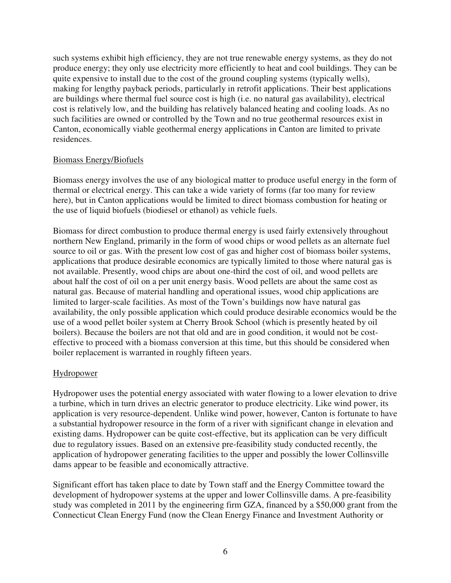such systems exhibit high efficiency, they are not true renewable energy systems, as they do not produce energy; they only use electricity more efficiently to heat and cool buildings. They can be quite expensive to install due to the cost of the ground coupling systems (typically wells), making for lengthy payback periods, particularly in retrofit applications. Their best applications are buildings where thermal fuel source cost is high (i.e. no natural gas availability), electrical cost is relatively low, and the building has relatively balanced heating and cooling loads. As no such facilities are owned or controlled by the Town and no true geothermal resources exist in Canton, economically viable geothermal energy applications in Canton are limited to private residences.

#### Biomass Energy/Biofuels

Biomass energy involves the use of any biological matter to produce useful energy in the form of thermal or electrical energy. This can take a wide variety of forms (far too many for review here), but in Canton applications would be limited to direct biomass combustion for heating or the use of liquid biofuels (biodiesel or ethanol) as vehicle fuels.

Biomass for direct combustion to produce thermal energy is used fairly extensively throughout northern New England, primarily in the form of wood chips or wood pellets as an alternate fuel source to oil or gas. With the present low cost of gas and higher cost of biomass boiler systems, applications that produce desirable economics are typically limited to those where natural gas is not available. Presently, wood chips are about one-third the cost of oil, and wood pellets are about half the cost of oil on a per unit energy basis. Wood pellets are about the same cost as natural gas. Because of material handling and operational issues, wood chip applications are limited to larger-scale facilities. As most of the Town's buildings now have natural gas availability, the only possible application which could produce desirable economics would be the use of a wood pellet boiler system at Cherry Brook School (which is presently heated by oil boilers). Because the boilers are not that old and are in good condition, it would not be costeffective to proceed with a biomass conversion at this time, but this should be considered when boiler replacement is warranted in roughly fifteen years.

### **Hydropower**

Hydropower uses the potential energy associated with water flowing to a lower elevation to drive a turbine, which in turn drives an electric generator to produce electricity. Like wind power, its application is very resource-dependent. Unlike wind power, however, Canton is fortunate to have a substantial hydropower resource in the form of a river with significant change in elevation and existing dams. Hydropower can be quite cost-effective, but its application can be very difficult due to regulatory issues. Based on an extensive pre-feasibility study conducted recently, the application of hydropower generating facilities to the upper and possibly the lower Collinsville dams appear to be feasible and economically attractive.

Significant effort has taken place to date by Town staff and the Energy Committee toward the development of hydropower systems at the upper and lower Collinsville dams. A pre-feasibility study was completed in 2011 by the engineering firm GZA, financed by a \$50,000 grant from the Connecticut Clean Energy Fund (now the Clean Energy Finance and Investment Authority or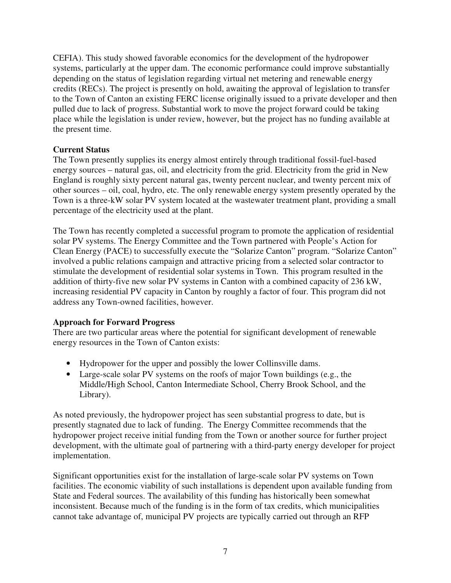CEFIA). This study showed favorable economics for the development of the hydropower systems, particularly at the upper dam. The economic performance could improve substantially depending on the status of legislation regarding virtual net metering and renewable energy credits (RECs). The project is presently on hold, awaiting the approval of legislation to transfer to the Town of Canton an existing FERC license originally issued to a private developer and then pulled due to lack of progress. Substantial work to move the project forward could be taking place while the legislation is under review, however, but the project has no funding available at the present time.

### **Current Status**

The Town presently supplies its energy almost entirely through traditional fossil-fuel-based energy sources – natural gas, oil, and electricity from the grid. Electricity from the grid in New England is roughly sixty percent natural gas, twenty percent nuclear, and twenty percent mix of other sources – oil, coal, hydro, etc. The only renewable energy system presently operated by the Town is a three-kW solar PV system located at the wastewater treatment plant, providing a small percentage of the electricity used at the plant.

The Town has recently completed a successful program to promote the application of residential solar PV systems. The Energy Committee and the Town partnered with People's Action for Clean Energy (PACE) to successfully execute the "Solarize Canton" program. "Solarize Canton" involved a public relations campaign and attractive pricing from a selected solar contractor to stimulate the development of residential solar systems in Town. This program resulted in the addition of thirty-five new solar PV systems in Canton with a combined capacity of 236 kW, increasing residential PV capacity in Canton by roughly a factor of four. This program did not address any Town-owned facilities, however.

### **Approach for Forward Progress**

There are two particular areas where the potential for significant development of renewable energy resources in the Town of Canton exists:

- Hydropower for the upper and possibly the lower Collinsville dams.
- Large-scale solar PV systems on the roofs of major Town buildings (e.g., the Middle/High School, Canton Intermediate School, Cherry Brook School, and the Library).

As noted previously, the hydropower project has seen substantial progress to date, but is presently stagnated due to lack of funding. The Energy Committee recommends that the hydropower project receive initial funding from the Town or another source for further project development, with the ultimate goal of partnering with a third-party energy developer for project implementation.

Significant opportunities exist for the installation of large-scale solar PV systems on Town facilities. The economic viability of such installations is dependent upon available funding from State and Federal sources. The availability of this funding has historically been somewhat inconsistent. Because much of the funding is in the form of tax credits, which municipalities cannot take advantage of, municipal PV projects are typically carried out through an RFP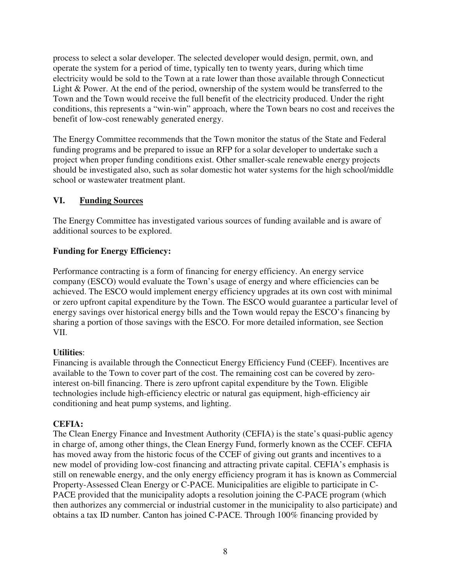process to select a solar developer. The selected developer would design, permit, own, and operate the system for a period of time, typically ten to twenty years, during which time electricity would be sold to the Town at a rate lower than those available through Connecticut Light & Power. At the end of the period, ownership of the system would be transferred to the Town and the Town would receive the full benefit of the electricity produced. Under the right conditions, this represents a "win-win" approach, where the Town bears no cost and receives the benefit of low-cost renewably generated energy.

The Energy Committee recommends that the Town monitor the status of the State and Federal funding programs and be prepared to issue an RFP for a solar developer to undertake such a project when proper funding conditions exist. Other smaller-scale renewable energy projects should be investigated also, such as solar domestic hot water systems for the high school/middle school or wastewater treatment plant.

### **VI. Funding Sources**

The Energy Committee has investigated various sources of funding available and is aware of additional sources to be explored.

## **Funding for Energy Efficiency:**

Performance contracting is a form of financing for energy efficiency. An energy service company (ESCO) would evaluate the Town's usage of energy and where efficiencies can be achieved. The ESCO would implement energy efficiency upgrades at its own cost with minimal or zero upfront capital expenditure by the Town. The ESCO would guarantee a particular level of energy savings over historical energy bills and the Town would repay the ESCO's financing by sharing a portion of those savings with the ESCO. For more detailed information, see Section VII.

### **Utilities**:

Financing is available through the Connecticut Energy Efficiency Fund (CEEF). Incentives are available to the Town to cover part of the cost. The remaining cost can be covered by zerointerest on-bill financing. There is zero upfront capital expenditure by the Town. Eligible technologies include high-efficiency electric or natural gas equipment, high-efficiency air conditioning and heat pump systems, and lighting.

### **CEFIA:**

The Clean Energy Finance and Investment Authority (CEFIA) is the state's quasi-public agency in charge of, among other things, the Clean Energy Fund, formerly known as the CCEF. CEFIA has moved away from the historic focus of the CCEF of giving out grants and incentives to a new model of providing low-cost financing and attracting private capital. CEFIA's emphasis is still on renewable energy, and the only energy efficiency program it has is known as Commercial Property-Assessed Clean Energy or C-PACE. Municipalities are eligible to participate in C-PACE provided that the municipality adopts a resolution joining the C-PACE program (which then authorizes any commercial or industrial customer in the municipality to also participate) and obtains a tax ID number. Canton has joined C-PACE. Through 100% financing provided by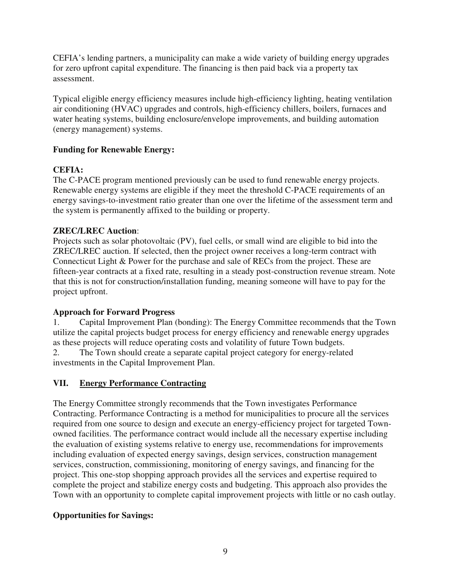CEFIA's lending partners, a municipality can make a wide variety of building energy upgrades for zero upfront capital expenditure. The financing is then paid back via a property tax assessment.

Typical eligible energy efficiency measures include high-efficiency lighting, heating ventilation air conditioning (HVAC) upgrades and controls, high-efficiency chillers, boilers, furnaces and water heating systems, building enclosure/envelope improvements, and building automation (energy management) systems.

# **Funding for Renewable Energy:**

## **CEFIA:**

The C-PACE program mentioned previously can be used to fund renewable energy projects. Renewable energy systems are eligible if they meet the threshold C-PACE requirements of an energy savings-to-investment ratio greater than one over the lifetime of the assessment term and the system is permanently affixed to the building or property.

# **ZREC/LREC Auction**:

Projects such as solar photovoltaic (PV), fuel cells, or small wind are eligible to bid into the ZREC/LREC auction. If selected, then the project owner receives a long-term contract with Connecticut Light & Power for the purchase and sale of RECs from the project. These are fifteen-year contracts at a fixed rate, resulting in a steady post-construction revenue stream. Note that this is not for construction/installation funding, meaning someone will have to pay for the project upfront.

### **Approach for Forward Progress**

1. Capital Improvement Plan (bonding): The Energy Committee recommends that the Town utilize the capital projects budget process for energy efficiency and renewable energy upgrades as these projects will reduce operating costs and volatility of future Town budgets. 2. The Town should create a separate capital project category for energy-related

investments in the Capital Improvement Plan.

### **VII. Energy Performance Contracting**

The Energy Committee strongly recommends that the Town investigates Performance Contracting. Performance Contracting is a method for municipalities to procure all the services required from one source to design and execute an energy-efficiency project for targeted Townowned facilities. The performance contract would include all the necessary expertise including the evaluation of existing systems relative to energy use, recommendations for improvements including evaluation of expected energy savings, design services, construction management services, construction, commissioning, monitoring of energy savings, and financing for the project. This one-stop shopping approach provides all the services and expertise required to complete the project and stabilize energy costs and budgeting. This approach also provides the Town with an opportunity to complete capital improvement projects with little or no cash outlay.

# **Opportunities for Savings:**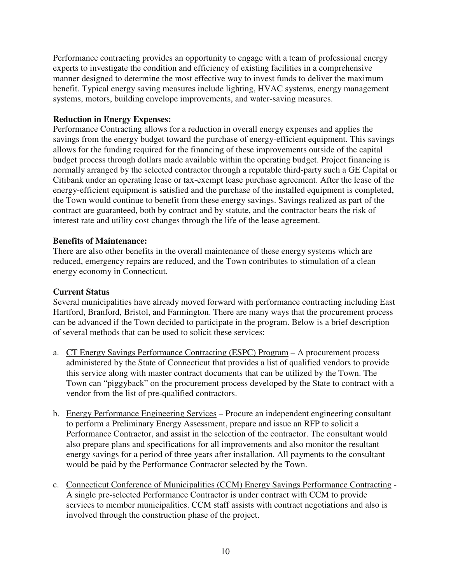Performance contracting provides an opportunity to engage with a team of professional energy experts to investigate the condition and efficiency of existing facilities in a comprehensive manner designed to determine the most effective way to invest funds to deliver the maximum benefit. Typical energy saving measures include lighting, HVAC systems, energy management systems, motors, building envelope improvements, and water-saving measures.

#### **Reduction in Energy Expenses:**

Performance Contracting allows for a reduction in overall energy expenses and applies the savings from the energy budget toward the purchase of energy-efficient equipment. This savings allows for the funding required for the financing of these improvements outside of the capital budget process through dollars made available within the operating budget. Project financing is normally arranged by the selected contractor through a reputable third-party such a GE Capital or Citibank under an operating lease or tax-exempt lease purchase agreement. After the lease of the energy-efficient equipment is satisfied and the purchase of the installed equipment is completed, the Town would continue to benefit from these energy savings. Savings realized as part of the contract are guaranteed, both by contract and by statute, and the contractor bears the risk of interest rate and utility cost changes through the life of the lease agreement.

#### **Benefits of Maintenance:**

There are also other benefits in the overall maintenance of these energy systems which are reduced, emergency repairs are reduced, and the Town contributes to stimulation of a clean energy economy in Connecticut.

#### **Current Status**

Several municipalities have already moved forward with performance contracting including East Hartford, Branford, Bristol, and Farmington. There are many ways that the procurement process can be advanced if the Town decided to participate in the program. Below is a brief description of several methods that can be used to solicit these services:

- a. CT Energy Savings Performance Contracting (ESPC) Program A procurement process administered by the State of Connecticut that provides a list of qualified vendors to provide this service along with master contract documents that can be utilized by the Town. The Town can "piggyback" on the procurement process developed by the State to contract with a vendor from the list of pre-qualified contractors.
- b. Energy Performance Engineering Services Procure an independent engineering consultant to perform a Preliminary Energy Assessment, prepare and issue an RFP to solicit a Performance Contractor, and assist in the selection of the contractor. The consultant would also prepare plans and specifications for all improvements and also monitor the resultant energy savings for a period of three years after installation. All payments to the consultant would be paid by the Performance Contractor selected by the Town.
- c. Connecticut Conference of Municipalities (CCM) Energy Savings Performance Contracting A single pre-selected Performance Contractor is under contract with CCM to provide services to member municipalities. CCM staff assists with contract negotiations and also is involved through the construction phase of the project.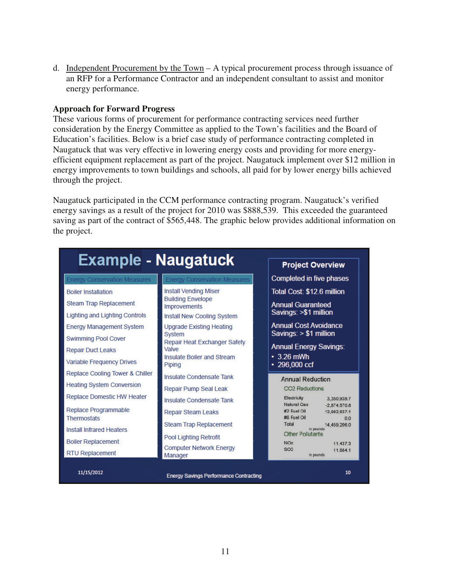d. Independent Procurement by the Town – A typical procurement process through issuance of an RFP for a Performance Contractor and an independent consultant to assist and monitor energy performance.

#### **Approach for Forward Progress**

These various forms of procurement for performance contracting services need further consideration by the Energy Committee as applied to the Town's facilities and the Board of Education's facilities. Below is a brief case study of performance contracting completed in Naugatuck that was very effective in lowering energy costs and providing for more energyefficient equipment replacement as part of the project. Naugatuck implement over \$12 million in energy improvements to town buildings and schools, all paid for by lower energy bills achieved through the project.

Naugatuck participated in the CCM performance contracting program. Naugatuck's verified energy savings as a result of the project for 2010 was \$888,539. This exceeded the guaranteed saving as part of the contract of \$565,448. The graphic below provides additional information on the project.

| <b>Example - Naugatuck</b>                 |                                                 |                                                                                   |
|--------------------------------------------|-------------------------------------------------|-----------------------------------------------------------------------------------|
|                                            |                                                 | <b>Project Overview</b>                                                           |
| <b>Energy Conservation Measures</b>        | <b>Energy Conservation Measures</b>             | Completed in five phases                                                          |
| <b>Boiler Installation</b>                 | <b>Install Vending Miser</b>                    | Total Cost: \$12.6 million                                                        |
| <b>Steam Trap Replacement</b>              | <b>Building Envelope</b><br><b>Improvements</b> | <b>Annual Guaranteed</b>                                                          |
| <b>Lighting and Lighting Controls</b>      | <b>Install New Cooling System</b>               | Savings: >\$1 million                                                             |
| <b>Energy Management System</b>            | <b>Upgrade Existing Heating</b>                 | <b>Annual Cost Avoidance</b>                                                      |
| <b>Swimming Pool Cover</b>                 | <b>System</b><br>Repair Heat Exchanger Safety   | Savings: $> $1$ million                                                           |
| <b>Repair Duct Leaks</b>                   | Valve                                           | <b>Annual Energy Savings:</b>                                                     |
| <b>Variable Frequency Drives</b>           | Insulate Boiler and Stream<br>Piping            | $\cdot$ 3.26 mWh<br>$\cdot$ 296,000 ccf                                           |
| Replace Cooling Tower & Chiller            | Insulate Condensate Tank                        | <b>Annual Reduction</b>                                                           |
| <b>Heating System Conversion</b>           | <b>Repair Pump Seal Leak</b>                    | CO <sub>2</sub> Reductions                                                        |
| <b>Replace Domestic HW Heater</b>          | Insulate Condensate Tank                        | Electricity<br>3,350.939.7                                                        |
| Replace Programmable<br><b>Thermostats</b> | <b>Repair Steam Leaks</b>                       | Natural Cas<br>$-2.874.570.8$<br>#2 Fuel Oil<br>13.982.837.1<br>#6 Fuel Oil<br>00 |
| Install Infrared Heaters                   | <b>Steam Trap Replacement</b>                   | Total<br>14 459 206 0<br>in pounds                                                |
|                                            | <b>Pool Lighting Retrofit</b>                   | Other Pollutants                                                                  |
| <b>Boiler Replacement</b>                  | <b>Computer Network Energy</b>                  | <b>NOv</b><br>11 437 3<br>SO <sub>2</sub><br>11.884.1                             |
| <b>RTU Replacement</b>                     | Manager                                         | in pounds                                                                         |